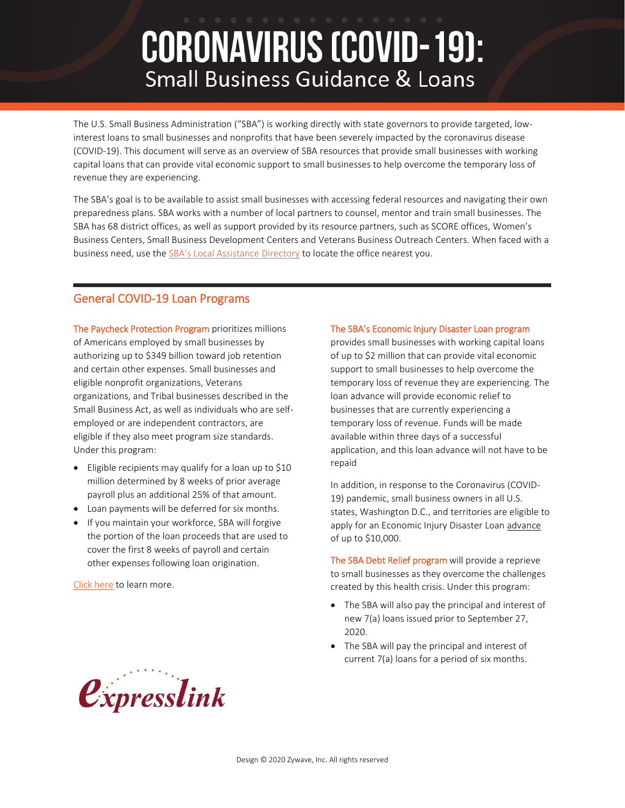# **CORONAVIRUS (COVID-19): Small Business Guidance & Loans**

The U.S. Small Business Administration ("SBA") is working directly with state governors to provide targeted, lowinterest loans to small businesses and nonprofits that have been severely impacted by the coronavirus disease (COVID-19). This document will serve as an overview of SBA resources that provide small businesses with working capital loans that can provide vital economic support to small businesses to help overcome the temporary loss of revenue they are experiencing.

The SBA's goal is to be available to assist small businesses with accessing federal resources and navigating their own preparedness plans. SBA works with a number of local partners to counsel, mentor and train small businesses. The SBA has 68 district offices, as well as support provided by its resource partners, such as SCORE offices, Women's Business Centers, Small Business Development Centers and Veterans Business Outreach Centers. When faced with a business need, use the [SBA's Local Assistance Directory](https://www.sba.gov/local-assistance) to locate the office nearest you.

## General COVID-19 Loan Programs

The Paycheck Protection Program prioritizes millions of Americans employed by small businesses by authorizing up to \$349 billion toward job retention and certain other expenses. Small businesses and eligible nonprofit organizations, Veterans organizations, and Tribal businesses described in the Small Business Act, as well as individuals who are selfemployed or are independent contractors, are eligible if they also meet program size standards. Under this program:

- Eligible recipients may qualify for a loan up to \$10 million determined by 8 weeks of prior average payroll plus an additional 25% of that amount.
- Loan payments will be deferred for six months.
- If you maintain your workforce, SBA will forgive the portion of the loan proceeds that are used to cover the first 8 weeks of payroll and certain other expenses following loan origination.

[Click here](https://www.sba.gov/funding-programs/loans/paycheck-protection-program-ppp) to learn more.

#### The SBA's Economic Injury Disaster Loan program

provides small businesses with working capital loans of up to \$2 million that can provide vital economic support to small businesses to help overcome the temporary loss of revenue they are experiencing. The loan advance will provide economic relief to businesses that are currently experiencing a temporary loss of revenue. Funds will be made available within three days of a successful application, and this loan advance will not have to be repaid

In addition, in response to the Coronavirus (COVID-19) pandemic, small business owners in all U.S. states, Washington D.C., and territories are eligible to apply for an Economic Injury Disaster Loan advance of up to \$10,000.

The SBA Debt Relief program will provide a reprieve to small businesses as they overcome the challenges created by this health crisis. Under this program:

- The SBA will also pay the principal and interest of new 7(a) loans issued prior to September 27, 2020.
- The SBA will pay the principal and interest of current 7(a) loans for a period of six months.

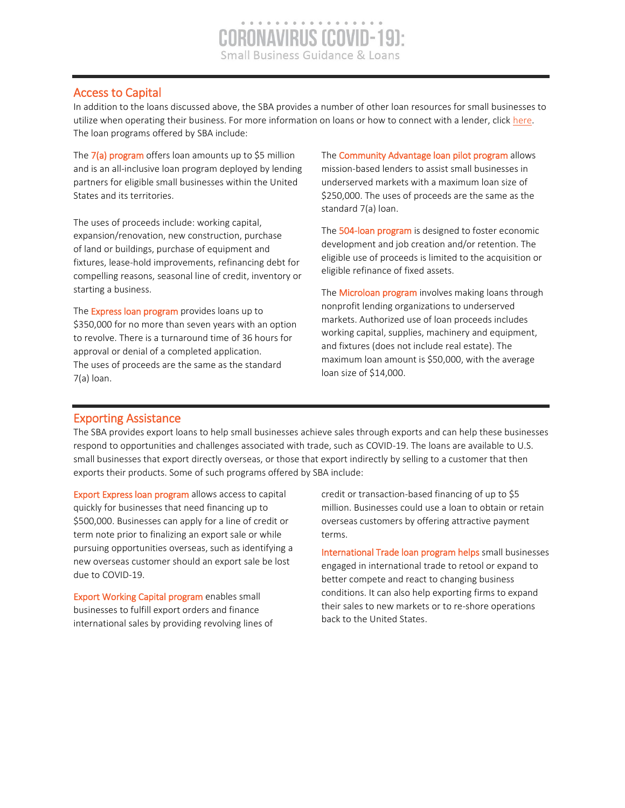## Access to Capital

In addition to the loans discussed above, the SBA provides a number of other loan resources for small businesses to utilize when operating their business. For more information on loans or how to connect with a lender, clic[k here.](https://www.sba.gov/funding-programs/loans) The loan programs offered by SBA include:

The  $7(a)$  program offers loan amounts up to \$5 million and is an all-inclusive loan program deployed by lending partners for eligible small businesses within the United States and its territories.

The uses of proceeds include: working capital, expansion/renovation, new construction, purchase of land or buildings, purchase of equipment and fixtures, lease-hold improvements, refinancing debt for compelling reasons, seasonal line of credit, inventory or starting a business.

The **Express loan program** provides loans up to \$350,000 for no more than seven years with an option to revolve. There is a turnaround time of 36 hours for approval or denial of a completed application. The uses of proceeds are the same as the standard 7(a) loan.

The **Community Advantage loan pilot program** allows mission-based lenders to assist small businesses in underserved markets with a maximum loan size of \$250,000. The uses of proceeds are the same as the standard 7(a) loan.

The 504-loan program is designed to foster economic development and job creation and/or retention. The eligible use of proceeds is limited to the acquisition or eligible refinance of fixed assets.

The **Microloan program** involves making loans through nonprofit lending organizations to underserved markets. Authorized use of loan proceeds includes working capital, supplies, machinery and equipment, and fixtures (does not include real estate). The maximum loan amount is \$50,000, with the average loan size of \$14,000.

## Exporting Assistance

l

The SBA provides export loans to help small businesses achieve sales through exports and can help these businesses respond to opportunities and challenges associated with trade, such as COVID-19. The loans are available to U.S. small businesses that export directly overseas, or those that export indirectly by selling to a customer that then exports their products. Some of such programs offered by SBA include:

Export Express loan program allows access to capital quickly for businesses that need financing up to \$500,000. Businesses can apply for a line of credit or term note prior to finalizing an export sale or while pursuing opportunities overseas, such as identifying a new overseas customer should an export sale be lost due to COVID-19.

Export Working Capital program enables small businesses to fulfill export orders and finance international sales by providing revolving lines of credit or transaction-based financing of up to \$5 million. Businesses could use a loan to obtain or retain overseas customers by offering attractive payment terms.

International Trade loan program helps small businesses engaged in international trade to retool or expand to better compete and react to changing business conditions. It can also help exporting firms to expand their sales to new markets or to re-shore operations back to the United States.